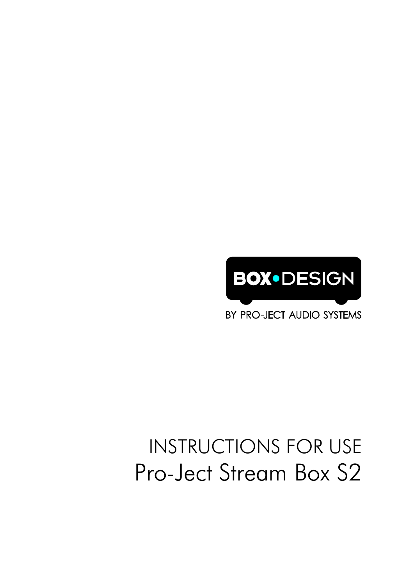

BY PRO-JECT AUDIO SYSTEMS

# INSTRUCTIONS FOR USE Pro-Ject Stream Box S2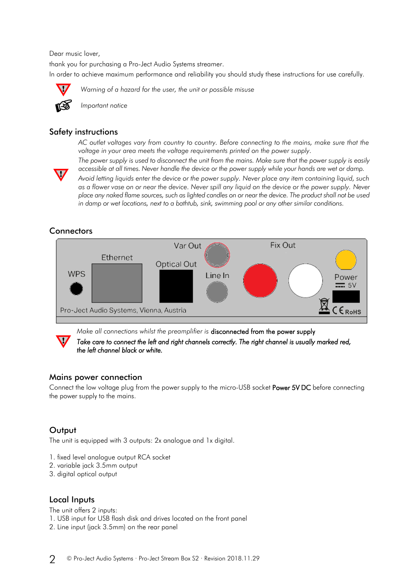Dear music lover,

thank you for purchasing a Pro-Ject Audio Systems streamer. In order to achieve maximum performance and reliability you should study these instructions for use carefully.



*Warning of a hazard for the user, the unit or possible misuse*



*Important notice*

## Safety instructions

*AC outlet voltages vary from country to country. Before connecting to the mains, make sure that the voltage in your area meets the voltage requirements printed on the power supply.*



*The power supply is used to disconnect the unit from the mains. Make sure that the power supply is easily accessible at all times. Never handle the device or the power supply while your hands are wet or damp. Avoid letting liquids enter the device or the power supply. Never place any item containing liquid, such as a flower vase on or near the device. Never spill any liquid on the device or the power supply. Never place any naked flame sources, such as lighted candles on or near the device. The product shall not be used in damp or wet locations, next to a bathtub, sink, swimming pool or any other similar conditions.*

# Connectors



*Make all connections whilst the preamplifier is* disconnected from the power supply *Take care to connect the left and right channels correctly. The right channel is usually marked red, the left channel black or white.* 

# Mains power connection

Connect the low voltage plug from the power supply to the micro-USB socket **Power 5V DC** before connecting the power supply to the mains.

# **Output**

The unit is equipped with 3 outputs: 2x analogue and 1x digital.

- 1. fixed level analogue output RCA socket
- 2. variable jack 3.5mm output
- 3. digital optical output

# Local Inputs

The unit offers 2 inputs: 1. USB input for USB flash disk and drives located on the front panel 2. Line input (jack 3.5mm) on the rear panel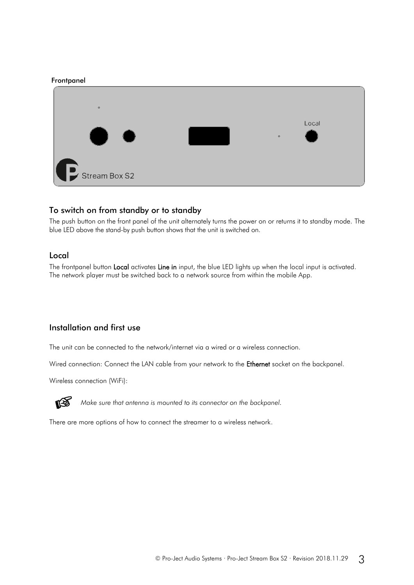#### Frontpanel



# To switch on from standby or to standby

The push button on the front panel of the unit alternately turns the power on or returns it to standby mode. The blue LED above the stand-by push button shows that the unit is switched on.

#### Local

The frontpanel button Local activates Line in input, the blue LED lights up when the local input is activated. The network player must be switched back to a network source from within the mobile App.

# Installation and first use

The unit can be connected to the network/internet via a wired or a wireless connection.

Wired connection: Connect the LAN cable from your network to the Ethernet socket on the backpanel.

Wireless connection (WiFi):



*Make sure that antenna is mounted to its connector on the backpanel.*

There are more options of how to connect the streamer to a wireless network.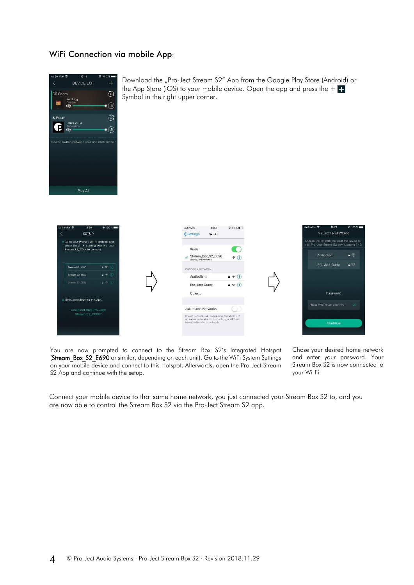# WiFi Connection via mobile App:



Download the "Pro-Ject Stream S2" App from the Google Play Store (Android) or the App Store (iOS) to your mobile device. Open the app and press the  $+ +$ Symbol in the right upper corner.



You are now prompted to connect to the Stream Box S2's integrated Hotspot (Stream\_Box\_S2\_E690 or similar, depending on each unit). Go to the WiFi System Settings on your mobile device and connect to this Hotspot. Afterwards, open the Pro-Ject Stream S2 App and continue with the setup.

Chose your desired home network and enter your password. Your Stream Box S2 is now connected to your Wi-Fi.

Connect your mobile device to that same home network, you just connected your Stream Box S2 to, and you are now able to control the Stream Box S2 via the Pro-Ject Stream S2 app.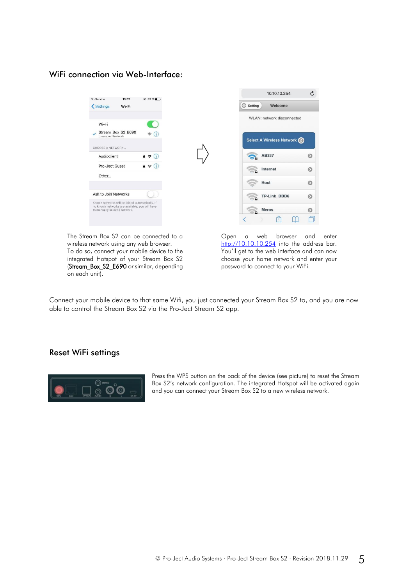# WiFi connection via Web-Interface:



The Stream Box S2 can be connected to a wireless network using any web browser. To do so, connect your mobile device to the integrated Hotspot of your Stream Box S2 (Stream\_Box\_S2\_E690 or similar, depending on each unit).

Open a web browser and enter [http://10.10.10.254](http://10.10.10.254/) into the address bar. You'll get to the web interface and can now choose your home network and enter your password to connect to your WiFi.

Connect your mobile device to that same Wifi, you just connected your Stream Box S2 to, and you are now able to control the Stream Box S2 via the Pro-Ject Stream S2 app.

#### Reset WiFi settings



Press the WPS button on the back of the device (see picture) to reset the Stream Box S2's network configuration. The integrated Hotspot will be activated again and you can connect your Stream Box S2 to a new wireless network.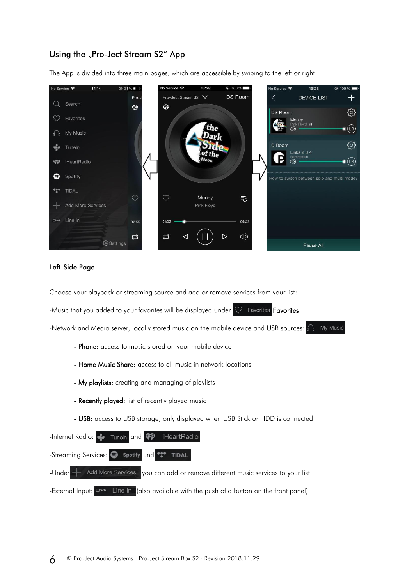# Using the "Pro-Ject Stream S2" App

The App is divided into three main pages, which are accessible by swiping to the left or right.



#### Left-Side Page

Choose your playback or streaming source and add or remove services from your list:

-Music that you added to your favorites will be displayed under  $\heartsuit$  Favorites **Favorites** 

-Network and Media server, locally stored music on the mobile device and USB sources:  $\bigcap_{n=1}^{\infty}$  My Music

- Phone: access to music stored on your mobile device
- Home Music Share: access to all music in network locations
- My playlists: creating and managing of playlists
- Recently played: list of recently played music
- USB: access to USB storage; only displayed when USB Stick or HDD is connected

-Internet Radio: Tuneln and **49** iHeartRadio -Streaming Services: S spotify und \*\*\* TIDAL -Under  $\leftarrow$  Add More Services you can add or remove different music services to your list -External Input:  $\Box$  Line In (also available with the push of a button on the front panel)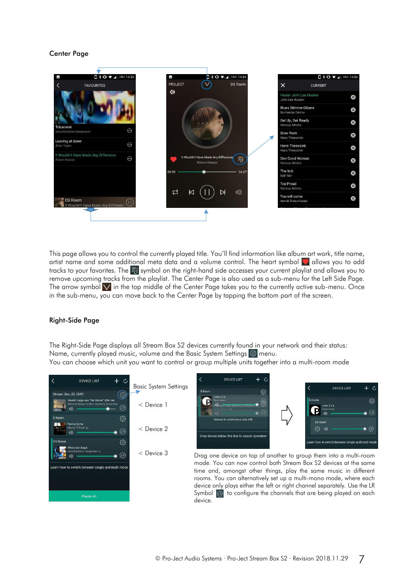#### Center Page



This page allows you to control the currently played title. You'll find information like album art work, title name, artist name and some additional meta data and a volume control. The heart symbol  $\bullet$  allows you to add tracks to your favorites. The  $\overline{3}$  symbol on the right-hand side accesses your current playlist and allows you to remove upcoming tracks from the playlist. The Center Page is also used as a sub-menu for the Left Side Page. The arrow symbol  $\vee$  in the top middle of the Center Page takes you to the currently active sub-menu. Once in the sub-menu, you can move back to the Center Page by tapping the bottom part of the screen.

#### Right-Side Page

The Right-Side Page displays all Stream Box S2 devices currently found in your network and their status: Name, currently played music, volume and the Basic System Settings  $\circledS$  menu.

You can choose which unit you want to control or group multiple units together into a multi-room mode





Drag one device on top of another to group them into a multi-room mode. You can now control both Stream Box S2 devices at the same time and, amongst other things, play the same music in different rooms. You can alternatively set up a multi-mono mode, where each device only plays either the left or right channel separately. Use the LR Symbol  $\circledR$  to configure the channels that are being played on each device.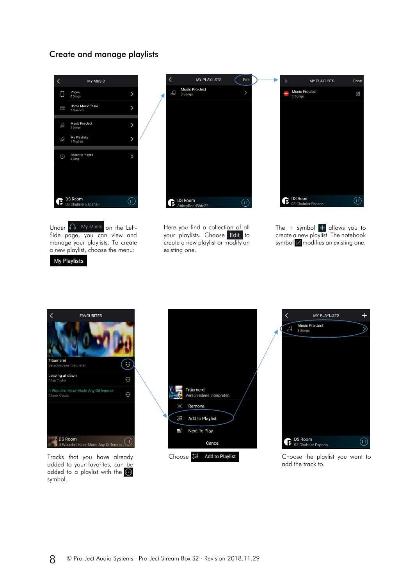# Create and manage playlists



Under **O** My Music on the Left-Side page, you can view and manage your playlists. To create a new playlist, choose the menu:

**My Playlists** 



Here you find a collection of all your playlists. Choose Edit to create a new playlist or modify an existing one.



The  $+$  symbol  $+$  allows you to create a new playlist. The notebook symbol  $\blacksquare$  modifies an existing one.



Tracks that you have already added to your favorites, can be added to a playlist with the  $\bigodot$ symbol.





add the track to.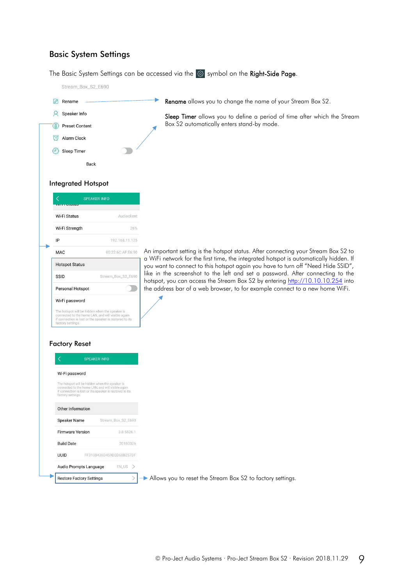# Basic System Settings

The Basic System Settings can be accessed via the  $\circled{3}$  symbol on the Right-Side Page.

Stream\_Box\_S2\_E690

Rename 8 Speaker Info Preset Content Alarm Clock Sleep Timer



Sleep Timer allows you to define a period of time after which the Stream Box S2 automatically enters stand-by mode.

#### Integrated Hotspot

**Back** 

| Wi-Fi Status          | Audioclient        |
|-----------------------|--------------------|
|                       |                    |
| Wi-Fi Strength        | 26%                |
| IP                    | 192.168.11.125     |
| <b>MAC</b>            | 00:22:6C:AF:E6:90  |
| <b>Hotspot Status</b> |                    |
|                       |                    |
| SSID                  | Stream_Box_S2_E690 |
| Personal Hotspot      |                    |

#### Factory Reset

| Wi-Fi password                                                                                                           |                                                         |
|--------------------------------------------------------------------------------------------------------------------------|---------------------------------------------------------|
| The hotspot will be hidden when the speaker is<br>connected to the home LAN, and will visible again<br>factory settings. | if connection is lost or the speaker is restored to its |
| Other Information                                                                                                        |                                                         |
| <b>Speaker Name</b>                                                                                                      | Stream Box S2 E690                                      |
| <b>Firmware Version</b>                                                                                                  | 3855261                                                 |
| <b>Build Date</b>                                                                                                        | 20180326                                                |
| UUID                                                                                                                     | FF3100436D459DFD688257DF                                |
| Audio Prompts Language                                                                                                   | EN_US                                                   |

An important setting is the hotspot status. After connecting your Stream Box S2 to a WiFi network for the first time, the integrated hotspot is automatically hidden. If you want to connect to this hotspot again you have to turn off "Need Hide SSID", like in the screenshot to the left and set a password. After connecting to the hotspot, you can access the Stream Box S2 by entering [http://10.10.10.254](http://10.10.10.254/) into the address bar of a web browser, to for example connect to a new home WiFi.

Allows you to reset the Stream Box S2 to factory settings.